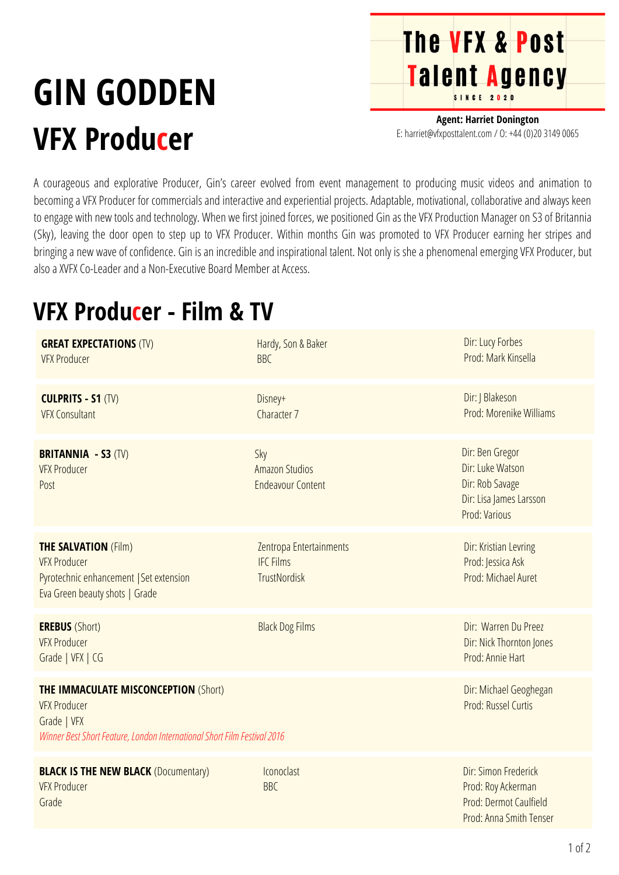# **GIN GODDEN VFX Producer**

**Agent: Harriet Donington** E: harriet@vfxposttalent.com / O:+44(0)2031490065

**The VFX & Post** 

Talent Agency

A courageous and explorative Producer, Gin's career evolved from event management to producing music videos and animation to becoming a VFX Producer for commercials and interactive and experiential projects. Adaptable, motivational, collaborative and always keen to engage with new tools and technology. When we first joined forces, we positioned Gin as the VFX Production Manager on S3 of Britannia (Sky), leaving the door open to step up to VFX Producer. Within months Gin was promoted to VFX Producer earning her stripes and bringing a new wave of confidence. Gin is an incredible and inspirational talent. Not only is she a phenomenal emerging VFX Producer, but also a XVFX Co-Leader and a Non-Executive Board Member at Access.

### **VFX Producer - Film & TV**

| <b>GREAT EXPECTATIONS (TV)</b><br><b>VFX Producer</b>                                                                                                                                                          | Hardy, Son & Baker<br><b>BBC</b>                            | Dir: Lucy Forbes<br>Prod: Mark Kinsella                                                            |
|----------------------------------------------------------------------------------------------------------------------------------------------------------------------------------------------------------------|-------------------------------------------------------------|----------------------------------------------------------------------------------------------------|
| <b>CULPRITS - S1 (TV)</b><br><b>VFX Consultant</b>                                                                                                                                                             | Disney+<br>Character 7                                      | Dir: J Blakeson<br>Prod: Morenike Williams                                                         |
| <b>BRITANNIA - S3 (TV)</b><br><b>VFX Producer</b><br>Post                                                                                                                                                      | Sky<br><b>Amazon Studios</b><br><b>Endeavour Content</b>    | Dir: Ben Gregor<br>Dir: Luke Watson<br>Dir: Rob Savage<br>Dir: Lisa James Larsson<br>Prod: Various |
| <b>THE SALVATION (Film)</b><br><b>VFX Producer</b><br>Pyrotechnic enhancement   Set extension<br>Eva Green beauty shots   Grade                                                                                | Zentropa Entertainments<br><b>IFC Films</b><br>TrustNordisk | Dir: Kristian Levring<br>Prod: Jessica Ask<br>Prod: Michael Auret                                  |
| <b>EREBUS</b> (Short)<br><b>VFX Producer</b><br>Grade   VFX   CG                                                                                                                                               | <b>Black Dog Films</b>                                      | Dir: Warren Du Preez<br>Dir: Nick Thornton Jones<br>Prod: Annie Hart                               |
| <b>THE IMMACULATE MISCONCEPTION (Short)</b><br>Dir: Michael Geoghegan<br>Prod: Russel Curtis<br><b>VFX Producer</b><br>Grade   VFX<br>Winner Best Short Feature, London International Short Film Festival 2016 |                                                             |                                                                                                    |
| <b>BLACK IS THE NEW BLACK (Documentary)</b><br><b>VFX Producer</b><br>Grade                                                                                                                                    | Iconoclast<br><b>BBC</b>                                    | Dir: Simon Frederick<br>Prod: Roy Ackerman<br>Prod: Dermot Caulfield<br>Prod: Anna Smith Tenser    |